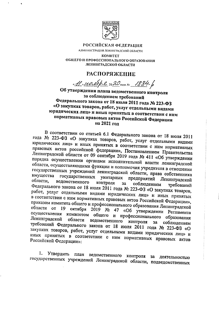

РОССИЙСКАЯ ФЕДЕРАЦИЯ

АДМИНИСТРАЦИЯ ЛЕНИНГРАДСКОЙ ОБЛАСТИ **KOMHTET** ОБЩЕГО И ПРОФЕССИОНАЛЬНОГО ОБРАЗОВАНИЯ ЛЕНИНГРАДСКОЙ ОБЛАСТИ

## **РАСПОРЯЖЕНИЕ**

<u>Al Macope 2020 rom No 1884-6</u>

Об утверждении плана ведомственного контроля за соблюдением требований Федерального закона от 18 июля 2011 года № 223-ФЗ «О закупках товаров, работ, услуг отдельными видами юридических лиц» и иных принятых в соответствии с ним нормативных правовых актов Российской Федерации на 2021 год

В соответствии со статьей 6.1 Федерального закона от 18 июля 2011 года № 223-ФЗ «О закупках товаров, работ, услуг отдельными видами юридических лиц» и иных принятых в соответствии с ним нормативных правовых актов российской федерации», Постановлением Правительства Ленинградской области от 09 сентября 2019 года № 411 «Об утверждении порядка осуществления органами исполнительной власти ленинградской области, осуществляющими функции и полномочия учредителя в отношении государственных учреждений ленинградской области, права собственника имущества государственных унитарных предприятий Ленинградской области, ведомственного контроля 33 соблюдением требований Федерального закона от 18 июля 2011 года № 223-ФЗ «О закупках товаров, работ, услуг отдельными видами юридических лиц» и иных принятых в соответствии с ним нормативных правовых актов Российской Федерации», приказом комитета общего и профессионального образования Ленинградской области от 19 октября 2019 № 47 «Об утверждении Регламента осуществления комитетом общего и профессионального образования Ленинградской ведомственного контроля области за соблюдением требований Федерального закона от 18 июля 2011 года № 223-ФЗ «О закупках товаров, работ, услуг отдельными видами юридических лиц» и иных принятых в соответствии с ним нормативных правовых актов Российской Федерации»:

Утвердить план ведомственного контроля за деятельностью 1. государственных учреждений Ленинградской области, подведомственных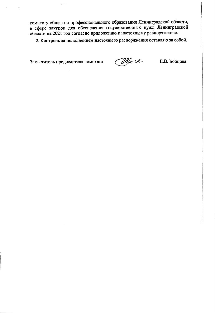комитету общего и профессионального образования Ленинградской области, в сфере закупок для обеспечения государственных нужд Ленинградской области на 2021 год согласно приложению к настоящему распоряжению.

2. Контроль за исполнением настоящего распоряжения оставляю за собой.

Заместитель председателя комитета

÷,

 $\ddot{\phantom{a}}$ 

 $\bullet$ 

Depo U-

Е.В. Бойцова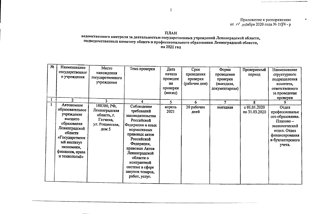Приложение к распоряжению от 11 № 2856 г.

## ПЛАН

## --------<br>ведомственного контроля за деятельностью государственных учреждений Ленинградской области,<br>подведомственных комитету общего и профессионального образования Ленинградской области, на 2021 год

| No | Наименование    |                  |                  |          |               |                |               |                  |
|----|-----------------|------------------|------------------|----------|---------------|----------------|---------------|------------------|
|    |                 | Место            | Тема проверки    | Дата     | Срок          | Форма          | Проверяемый   | Наименование     |
|    | государственног | нахождения       |                  | начала   | проведения    | проведения     | период        | структурного     |
|    | о учреждения    | государственного |                  | проведен | проверки      | проверки       |               | подразделения    |
|    |                 | учреждения       |                  | ия       | (рабочие дни) | (выездная,     |               | комитета,        |
|    |                 |                  |                  | проверки |               | документарная) |               | ответственного   |
|    |                 |                  |                  | (месяц)  |               |                |               | за проведение    |
|    |                 |                  |                  |          |               |                |               |                  |
|    | $\mathbf{2}$    | 3                | 4                | 5.       | 6             | 7              | ጸ             | проверки         |
|    | Автономное      | 188300, РФ,      | Соблюдение       |          |               |                |               |                  |
|    | образовательное | Ленинградская    |                  | апрель   | 20 рабочих    | выездная       | c 01.01.2020  | Отдел            |
|    | учреждение      |                  | требований       | 2021     | дней          |                | по 31.03.2020 | профессиональн   |
|    | высшего         | область, г.      | законодательства |          |               |                |               | ого образования. |
|    |                 | Гатчина,         | Российской       |          |               |                |               | Планово-         |
|    | образования     | ул. Рощинская,   | Федерации и иных |          |               |                |               | экономический    |
|    | Ленинградской   | дом 5            | нормативных      |          |               |                |               | отдел. Отдел     |
|    | области         |                  | правовых актов   |          |               |                |               | финансирования   |
|    | «Государствени  |                  | Российской       |          |               |                |               | и бухгалтерского |
|    | ый институт     |                  | Федерации,       |          |               |                |               | учета.           |
|    | экономики,      |                  | правовых Актов   |          |               |                |               |                  |
|    | финансов, права |                  | Ленинградской    |          |               |                |               |                  |
|    | и технологий»   |                  | области о        |          |               |                |               |                  |
|    |                 |                  |                  |          |               |                |               |                  |
|    |                 |                  | контрактной      |          |               |                |               |                  |
|    |                 |                  | системе в сфере  |          |               |                |               |                  |
|    |                 |                  | закупок товаров, |          |               |                |               |                  |
|    |                 |                  | работ, услуг.    |          |               |                |               |                  |
|    |                 |                  |                  |          |               |                |               |                  |